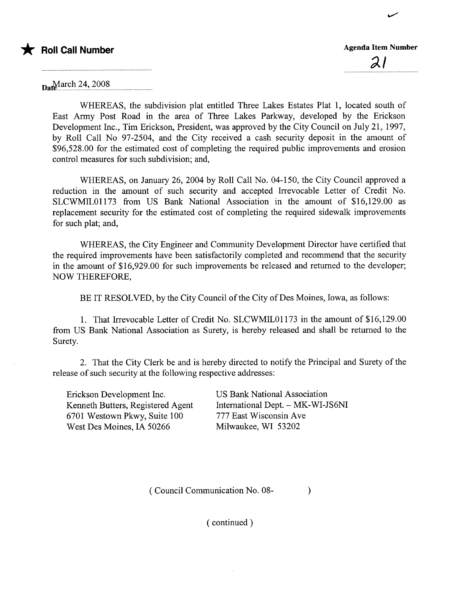

 $\mathcal{Z}$  l

..

 $a_{\text{net}}$ March 24, 2008

WHEREAS, the subdivision plat entitled Three Lakes Estates Plat 1, located south of East Army Post Road in the area of Three Lakes Parkway, developed by the Erickson Development Inc., Tim Erickson, President, was approved by the City Council on July 21, 1997, by Roll Call No 97-2504, and the City received a cash securty deposit in the amount of \$96,528.00 for the estimated cost of completing the required public improvements and erosion control measures for such subdivision; and,

WHEREAS, on January 26,2004 by Roll Call No. 04-150, the City Council approved a reduction in the amount of such security and accepted Irevocable Letter of Credit No. SLCWMIL01173 from US Bank National Association in the amount of \$16,129.00 as replacement security for the estimated cost of completing the required sidewalk improvements for such plat; and,

WHEREAS, the City Engineer and Community Development Director have certified that the required improvements have been satisfactorily completed and recommend that the security in the amount of \$16,929.00 for such improvements be released and retured to the developer; NOW THEREFORE,

BE IT RESOLVED, by the City Council of the City of Des Moines, Iowa, as follows:

1. That Irevocable Letter of Credit No. SLCWMILOl173 in the amount of \$16,129.00 from US Bank National Association as Surety, is hereby released and shall be returned to the Surety.

2. That the City Clerk be and is hereby directed to notify the Principal and Surety of the release of such security at the following respective addresses:

Erickson Development Inc. Kenneth Butters, Registered Agent 6701 Westown Pkwy, Suite 100 West Des Moines, IA 50266

**US Bank National Association** International Dept. - MK-WI-JS6NI 777 East Wisconsin Ave Milwaukee, WI 53202

( Council Communication No. 08- )

( continued)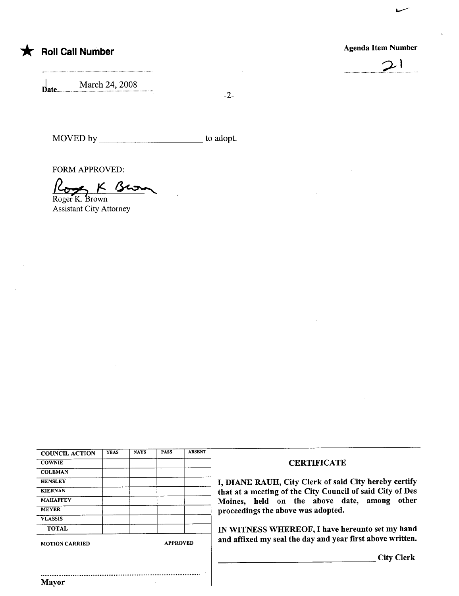

## **Agenda Item Number**



March 24, 2008  $\mathbf{Date}$ ....

 $-2-$ 

MOVED by to adopt.

**FORM APPROVED:** 

K Bro  $1672$ 

Roger K. Brown **Assistant City Attorney** 

| <b>YEAS</b> | <b>NAYS</b> | <b>PASS</b> | <b>ABSENT</b> |
|-------------|-------------|-------------|---------------|
|             |             |             |               |
|             |             |             |               |
|             |             |             |               |
|             |             |             |               |
|             |             |             |               |
|             |             |             |               |
|             |             |             |               |
|             |             |             |               |
|             |             |             |               |

## **CERTIFICATE**

I, DIANE RAUH, City Clerk of said City hereby certify that at a meeting of the City Council of said City of Des Moines, held on the above date, among other proceedings the above was adopted.

IN WITNESS WHEREOF, I have hereunto set my hand and affixed my seal the day and year first above written.

City Clerk

**Mayor**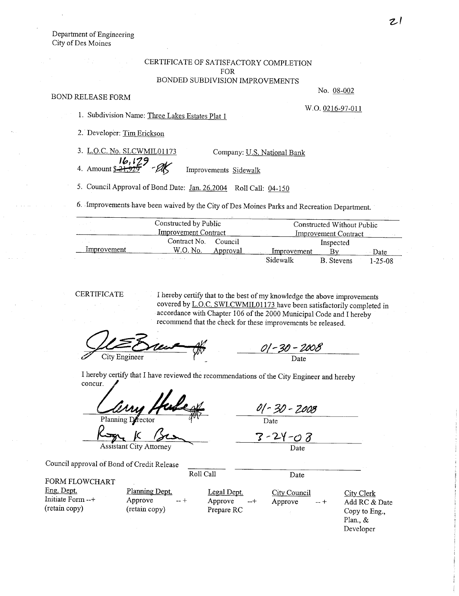Department of Engineering City of Des Moines

## CERTIFICATE OF SATISFACTORY COMPLETION FOR BONDED SUBDIVISION IMPROVEMENTS

## BOND RELEASE FORM

No. 08-002

W.O. 0216-97-011

1. Subdivision Name: Three Lakes Estates Plat 1

2. Developer: Tim Erickson

| 3. L.O.C. No. SLCWMIL01173              | Company: U.S. National Bank |
|-----------------------------------------|-----------------------------|
| $\frac{16,129}{4.$ Amount \$21,925 - AK |                             |
|                                         | Improvements Sidewalk       |

5. Council Approval of Bond Date: Jan. 26,2004 Roll Call: 04-150

6. Improvements have been waived by the City of Des Moines Parks and Recreation Department.

|             | Constructed by Public       |          | Constructed Without Public |                             |         |
|-------------|-----------------------------|----------|----------------------------|-----------------------------|---------|
|             | <b>Improvement Contract</b> |          |                            | <b>Improvement Contract</b> |         |
|             | Contract No.                | Council  |                            | Inspected                   |         |
| Improvement | W.O. No.                    | Approval | Improvement                |                             | Date    |
|             |                             |          | Sidewalk                   | <b>B.</b> Stevens           | 1-25-08 |

CERTIFICATE I hereby certify that to the best of my knowledge the above improvements covered by L.O.C. SWLCWMIL01173 have been satisfactorily completed in accordance with Chapter 106 of the 2000 Municipal Code and I hereby recommend that the check for these improvements be released.

Les E City Engineer

01 - 30 - 2008 Date

I hereby certify that I have reviewed the recommendations of the City Engineer and hereby concur.

Planning Drector<br>  $\frac{1}{\sqrt{2\pi}}$   $\frac{1}{\sqrt{2\pi}}$ 

01 - 30 - 2008

Date

 $3 - 24 - 08$ Date

Council approval of Bond of Credit Release

FORM FLOWCHART Eng. Dept.

Initiate Form --+ (retain copy)

Planning Dept. Approve --+ (retain copy)

Legal Dept. Approve Prepare RC

Roll Call Date

City Council Approve --+

City Clerk Add RC & Date Copy to Eng., Plan., & Developer